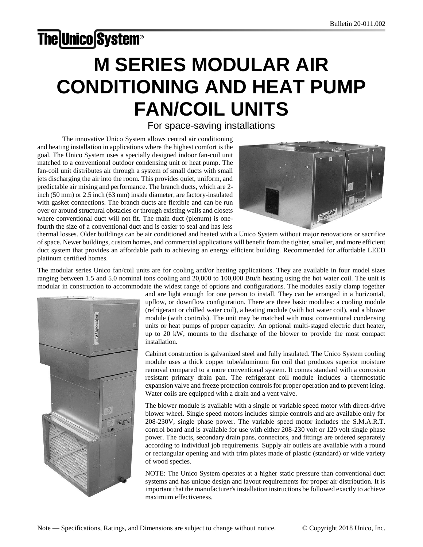# **The Unico System®**

# M SERIES MODULAR AIR CONDITIONING AND HEAT PUMP FAN/COIL UNITS

## *For space-saving installations*

The innovative Unico System allows central air conditioning and heating installation in applications where the highest comfort is the goal. The Unico System uses a specially designed indoor fan-coil unit matched to a conventional outdoor condensing unit or heat pump. The fan-coil unit distributes air through a system of small ducts with small jets discharging the air into the room. This provides quiet, uniform, and predictable air mixing and performance. The branch ducts, which are 2 inch (50 mm) or 2.5 inch (63 mm) inside diameter, are factory-insulated with gasket connections. The branch ducts are flexible and can be run over or around structural obstacles or through existing walls and closets where conventional duct will not fit. The main duct (plenum) is onefourth the size of a conventional duct and is easier to seal and has less



thermal losses. Older buildings can be air conditioned and heated with a Unico System without major renovations or sacrifice of space. Newer buildings, custom homes, and commercial applications will benefit from the tighter, smaller, and more efficient duct system that provides an affordable path to achieving an energy efficient building. Recommended for affordable LEED platinum certified homes.

The modular series Unico fan/coil units are for cooling and/or heating applications. They are available in four model sizes ranging between 1.5 and 5.0 nominal tons cooling and 20,000 to 100,000 Btu/h heating using the hot water coil. The unit is modular in construction to accommodate the widest range of options and configurations. The modules easily clamp together



and are light enough for one person to install. They can be arranged in a horizontal, upflow, or downflow configuration. There are three basic modules: a cooling module (refrigerant or chilled water coil), a heating module (with hot water coil), and a blower module (with controls). The unit may be matched with most conventional condensing units or heat pumps of proper capacity. An optional multi-staged electric duct heater, up to 20 kW, mounts to the discharge of the blower to provide the most compact installation.

Cabinet construction is galvanized steel and fully insulated. The Unico System cooling module uses a thick copper tube/aluminum fin coil that produces superior moisture removal compared to a more conventional system. It comes standard with a corrosion resistant primary drain pan. The refrigerant coil module includes a thermostatic expansion valve and freeze protection controls for proper operation and to prevent icing. Water coils are equipped with a drain and a vent valve.

The blower module is available with a single or variable speed motor with direct-drive blower wheel. Single speed motors includes simple controls and are available only for 208-230V, single phase power. The variable speed motor includes the S.M.A.R.T. control board and is available for use with either 208-230 volt or 120 volt single phase power. The ducts, secondary drain pans, connectors, and fittings are ordered separately according to individual job requirements. Supply air outlets are available with a round or rectangular opening and with trim plates made of plastic (standard) or wide variety of wood species.

NOTE: The Unico System operates at a higher static pressure than conventional duct systems and has unique design and layout requirements for proper air distribution. It is important that the manufacturer's installation instructions be followed exactly to achieve maximum effectiveness.